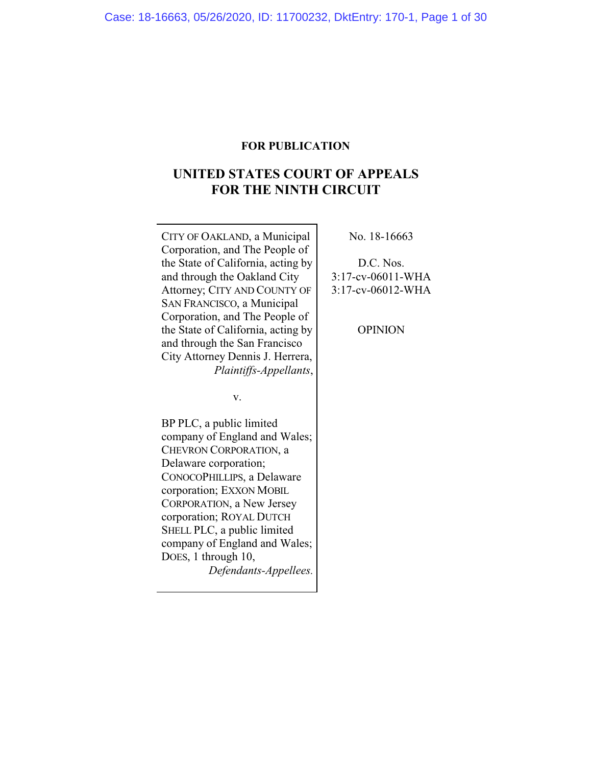## **FOR PUBLICATION**

# **UNITED STATES COURT OF APPEALS FOR THE NINTH CIRCUIT**

CITY OF OAKLAND, a Municipal Corporation, and The People of the State of California, acting by and through the Oakland City Attorney; CITY AND COUNTY OF SAN FRANCISCO, a Municipal Corporation, and The People of the State of California, acting by and through the San Francisco City Attorney Dennis J. Herrera, *Plaintiffs-Appellants*,

v.

BP PLC, a public limited company of England and Wales; CHEVRON CORPORATION, a Delaware corporation; CONOCOPHILLIPS, a Delaware corporation; EXXON MOBIL CORPORATION, a New Jersey corporation; ROYAL DUTCH SHELL PLC, a public limited company of England and Wales; DOES, 1 through 10, *Defendants-Appellees.* No. 18-16663

D.C. Nos. 3:17-cv-06011-WHA 3:17-cv-06012-WHA

OPINION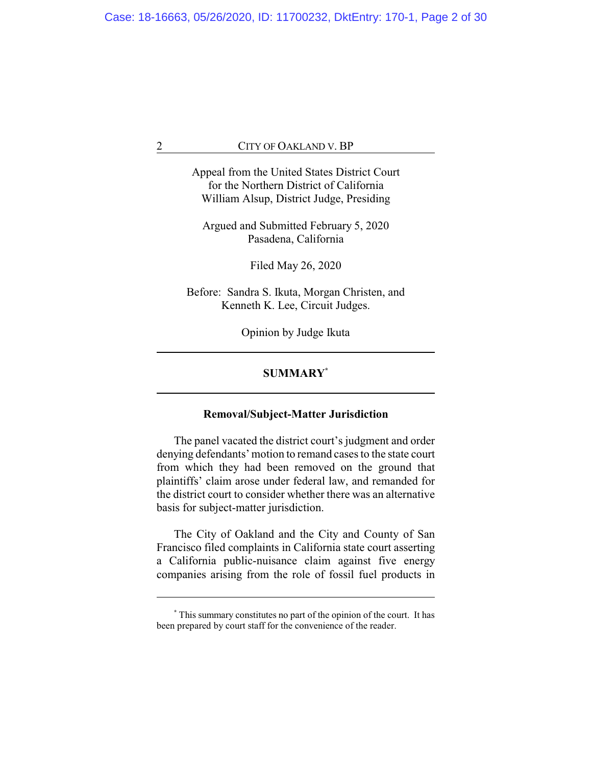Appeal from the United States District Court for the Northern District of California William Alsup, District Judge, Presiding

Argued and Submitted February 5, 2020 Pasadena, California

Filed May 26, 2020

Before: Sandra S. Ikuta, Morgan Christen, and Kenneth K. Lee, Circuit Judges.

Opinion by Judge Ikuta

## **SUMMARY\***

## **Removal/Subject-Matter Jurisdiction**

The panel vacated the district court's judgment and order denying defendants' motion to remand cases to the state court from which they had been removed on the ground that plaintiffs' claim arose under federal law, and remanded for the district court to consider whether there was an alternative basis for subject-matter jurisdiction.

The City of Oakland and the City and County of San Francisco filed complaints in California state court asserting a California public-nuisance claim against five energy companies arising from the role of fossil fuel products in

**<sup>\*</sup>** This summary constitutes no part of the opinion of the court. It has been prepared by court staff for the convenience of the reader.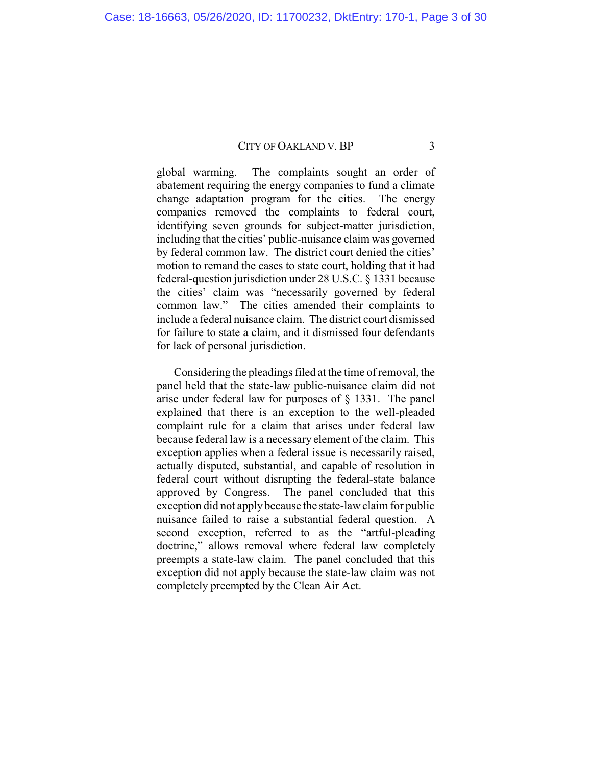global warming. The complaints sought an order of abatement requiring the energy companies to fund a climate change adaptation program for the cities. The energy companies removed the complaints to federal court, identifying seven grounds for subject-matter jurisdiction, including that the cities' public-nuisance claim was governed by federal common law. The district court denied the cities' motion to remand the cases to state court, holding that it had federal-question jurisdiction under 28 U.S.C. § 1331 because the cities' claim was "necessarily governed by federal common law." The cities amended their complaints to include a federal nuisance claim. The district court dismissed for failure to state a claim, and it dismissed four defendants for lack of personal jurisdiction.

Considering the pleadings filed at the time of removal, the panel held that the state-law public-nuisance claim did not arise under federal law for purposes of § 1331. The panel explained that there is an exception to the well-pleaded complaint rule for a claim that arises under federal law because federal law is a necessary element of the claim. This exception applies when a federal issue is necessarily raised, actually disputed, substantial, and capable of resolution in federal court without disrupting the federal-state balance approved by Congress. The panel concluded that this exception did not apply because the state-law claim for public nuisance failed to raise a substantial federal question. A second exception, referred to as the "artful-pleading doctrine," allows removal where federal law completely preempts a state-law claim. The panel concluded that this exception did not apply because the state-law claim was not completely preempted by the Clean Air Act.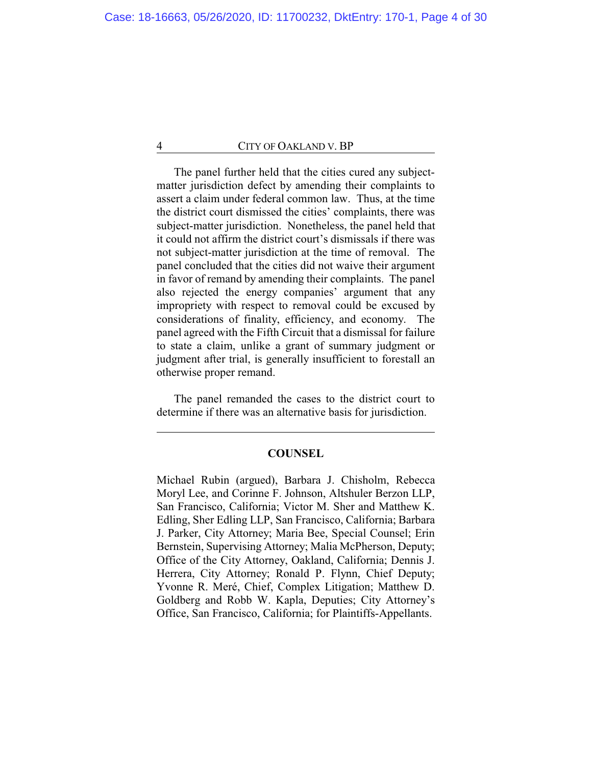The panel further held that the cities cured any subjectmatter jurisdiction defect by amending their complaints to assert a claim under federal common law. Thus, at the time the district court dismissed the cities' complaints, there was subject-matter jurisdiction. Nonetheless, the panel held that it could not affirm the district court's dismissals if there was not subject-matter jurisdiction at the time of removal. The panel concluded that the cities did not waive their argument in favor of remand by amending their complaints. The panel also rejected the energy companies' argument that any impropriety with respect to removal could be excused by considerations of finality, efficiency, and economy. The panel agreed with the Fifth Circuit that a dismissal for failure to state a claim, unlike a grant of summary judgment or judgment after trial, is generally insufficient to forestall an otherwise proper remand.

The panel remanded the cases to the district court to determine if there was an alternative basis for jurisdiction.

## **COUNSEL**

Michael Rubin (argued), Barbara J. Chisholm, Rebecca Moryl Lee, and Corinne F. Johnson, Altshuler Berzon LLP, San Francisco, California; Victor M. Sher and Matthew K. Edling, Sher Edling LLP, San Francisco, California; Barbara J. Parker, City Attorney; Maria Bee, Special Counsel; Erin Bernstein, Supervising Attorney; Malia McPherson, Deputy; Office of the City Attorney, Oakland, California; Dennis J. Herrera, City Attorney; Ronald P. Flynn, Chief Deputy; Yvonne R. Meré, Chief, Complex Litigation; Matthew D. Goldberg and Robb W. Kapla, Deputies; City Attorney's Office, San Francisco, California; for Plaintiffs-Appellants.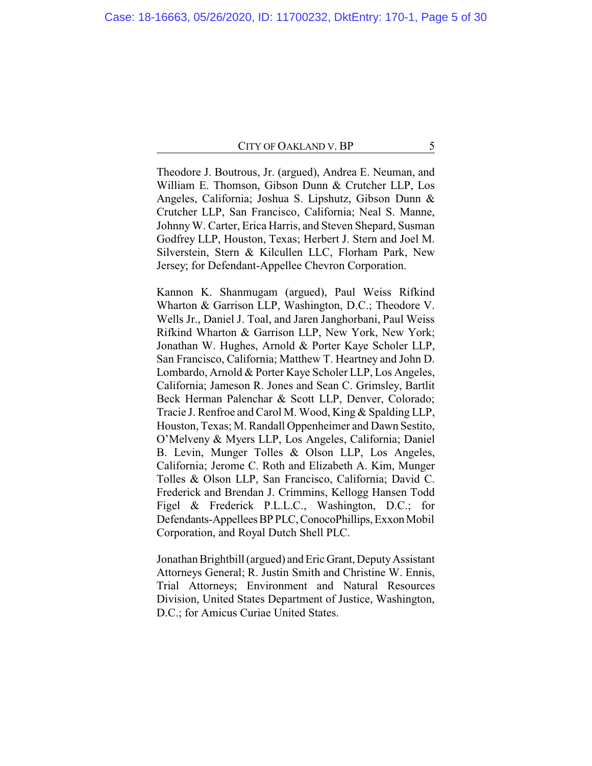Theodore J. Boutrous, Jr. (argued), Andrea E. Neuman, and William E. Thomson, Gibson Dunn & Crutcher LLP, Los Angeles, California; Joshua S. Lipshutz, Gibson Dunn & Crutcher LLP, San Francisco, California; Neal S. Manne, Johnny W. Carter, Erica Harris, and Steven Shepard, Susman Godfrey LLP, Houston, Texas; Herbert J. Stern and Joel M. Silverstein, Stern & Kilcullen LLC, Florham Park, New Jersey; for Defendant-Appellee Chevron Corporation.

Kannon K. Shanmugam (argued), Paul Weiss Rifkind Wharton & Garrison LLP, Washington, D.C.; Theodore V. Wells Jr., Daniel J. Toal, and Jaren Janghorbani, Paul Weiss Rifkind Wharton & Garrison LLP, New York, New York; Jonathan W. Hughes, Arnold & Porter Kaye Scholer LLP, San Francisco, California; Matthew T. Heartney and John D. Lombardo, Arnold & Porter Kaye Scholer LLP, Los Angeles, California; Jameson R. Jones and Sean C. Grimsley, Bartlit Beck Herman Palenchar & Scott LLP, Denver, Colorado; Tracie J. Renfroe and Carol M. Wood, King & Spalding LLP, Houston, Texas; M. Randall Oppenheimer and Dawn Sestito, O'Melveny & Myers LLP, Los Angeles, California; Daniel B. Levin, Munger Tolles & Olson LLP, Los Angeles, California; Jerome C. Roth and Elizabeth A. Kim, Munger Tolles & Olson LLP, San Francisco, California; David C. Frederick and Brendan J. Crimmins, Kellogg Hansen Todd Figel & Frederick P.L.L.C., Washington, D.C.; for Defendants-Appellees BP PLC, ConocoPhillips, Exxon Mobil Corporation, and Royal Dutch Shell PLC.

Jonathan Brightbill (argued) and Eric Grant, DeputyAssistant Attorneys General; R. Justin Smith and Christine W. Ennis, Trial Attorneys; Environment and Natural Resources Division, United States Department of Justice, Washington, D.C.; for Amicus Curiae United States.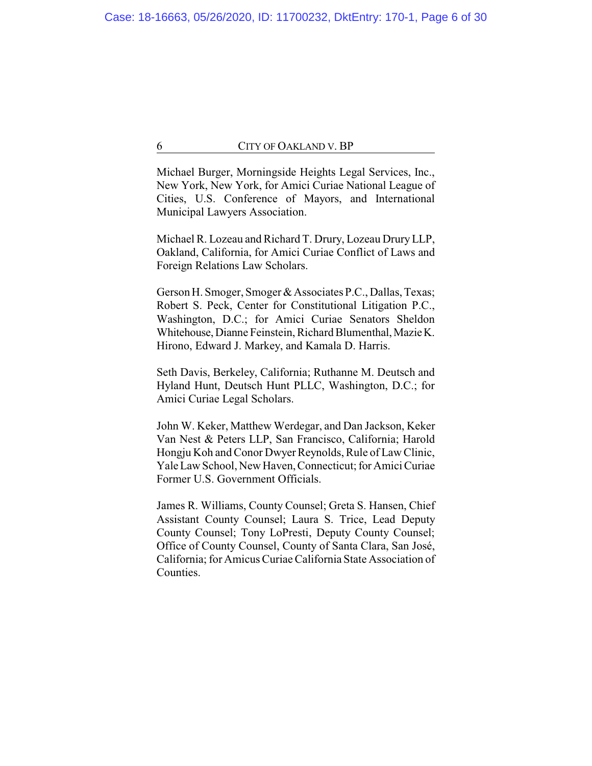Michael Burger, Morningside Heights Legal Services, Inc., New York, New York, for Amici Curiae National League of Cities, U.S. Conference of Mayors, and International Municipal Lawyers Association.

Michael R. Lozeau and Richard T. Drury, Lozeau DruryLLP, Oakland, California, for Amici Curiae Conflict of Laws and Foreign Relations Law Scholars.

Gerson H. Smoger, Smoger & Associates P.C., Dallas, Texas; Robert S. Peck, Center for Constitutional Litigation P.C., Washington, D.C.; for Amici Curiae Senators Sheldon Whitehouse, Dianne Feinstein, Richard Blumenthal, Mazie K. Hirono, Edward J. Markey, and Kamala D. Harris.

Seth Davis, Berkeley, California; Ruthanne M. Deutsch and Hyland Hunt, Deutsch Hunt PLLC, Washington, D.C.; for Amici Curiae Legal Scholars.

John W. Keker, Matthew Werdegar, and Dan Jackson, Keker Van Nest & Peters LLP, San Francisco, California; Harold Hongju Koh and Conor Dwyer Reynolds, Rule of Law Clinic, Yale Law School, New Haven, Connecticut; for Amici Curiae Former U.S. Government Officials.

James R. Williams, County Counsel; Greta S. Hansen, Chief Assistant County Counsel; Laura S. Trice, Lead Deputy County Counsel; Tony LoPresti, Deputy County Counsel; Office of County Counsel, County of Santa Clara, San José, California; for Amicus Curiae California State Association of Counties.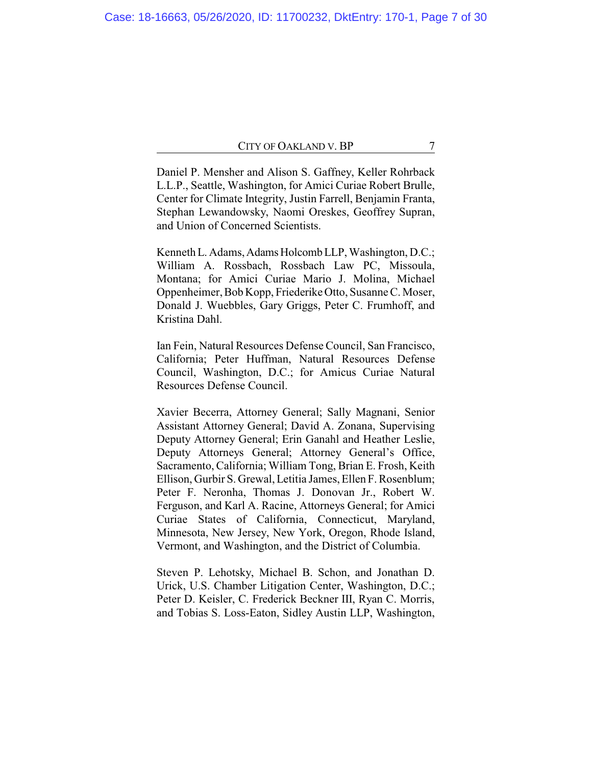Daniel P. Mensher and Alison S. Gaffney, Keller Rohrback L.L.P., Seattle, Washington, for Amici Curiae Robert Brulle, Center for Climate Integrity, Justin Farrell, Benjamin Franta, Stephan Lewandowsky, Naomi Oreskes, Geoffrey Supran, and Union of Concerned Scientists.

Kenneth L. Adams, Adams Holcomb LLP, Washington, D.C.; William A. Rossbach, Rossbach Law PC, Missoula, Montana; for Amici Curiae Mario J. Molina, Michael Oppenheimer, Bob Kopp, Friederike Otto, Susanne C. Moser, Donald J. Wuebbles, Gary Griggs, Peter C. Frumhoff, and Kristina Dahl.

Ian Fein, Natural Resources Defense Council, San Francisco, California; Peter Huffman, Natural Resources Defense Council, Washington, D.C.; for Amicus Curiae Natural Resources Defense Council.

Xavier Becerra, Attorney General; Sally Magnani, Senior Assistant Attorney General; David A. Zonana, Supervising Deputy Attorney General; Erin Ganahl and Heather Leslie, Deputy Attorneys General; Attorney General's Office, Sacramento, California; William Tong, Brian E. Frosh, Keith Ellison, Gurbir S. Grewal, Letitia James, Ellen F. Rosenblum; Peter F. Neronha, Thomas J. Donovan Jr., Robert W. Ferguson, and Karl A. Racine, Attorneys General; for Amici Curiae States of California, Connecticut, Maryland, Minnesota, New Jersey, New York, Oregon, Rhode Island, Vermont, and Washington, and the District of Columbia.

Steven P. Lehotsky, Michael B. Schon, and Jonathan D. Urick, U.S. Chamber Litigation Center, Washington, D.C.; Peter D. Keisler, C. Frederick Beckner III, Ryan C. Morris, and Tobias S. Loss-Eaton, Sidley Austin LLP, Washington,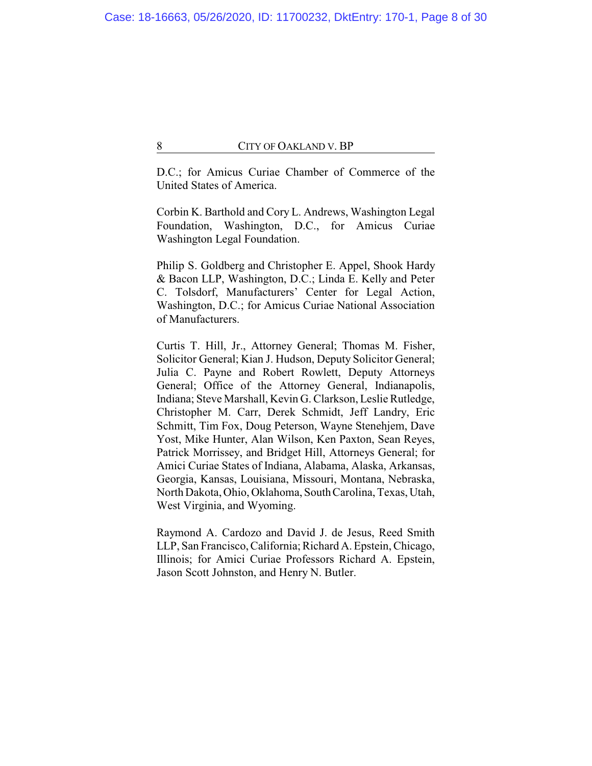D.C.; for Amicus Curiae Chamber of Commerce of the United States of America.

Corbin K. Barthold and Cory L. Andrews, Washington Legal Foundation, Washington, D.C., for Amicus Curiae Washington Legal Foundation.

Philip S. Goldberg and Christopher E. Appel, Shook Hardy & Bacon LLP, Washington, D.C.; Linda E. Kelly and Peter C. Tolsdorf, Manufacturers' Center for Legal Action, Washington, D.C.; for Amicus Curiae National Association of Manufacturers.

Curtis T. Hill, Jr., Attorney General; Thomas M. Fisher, Solicitor General; Kian J. Hudson, Deputy Solicitor General; Julia C. Payne and Robert Rowlett, Deputy Attorneys General; Office of the Attorney General, Indianapolis, Indiana; Steve Marshall, Kevin G. Clarkson, Leslie Rutledge, Christopher M. Carr, Derek Schmidt, Jeff Landry, Eric Schmitt, Tim Fox, Doug Peterson, Wayne Stenehjem, Dave Yost, Mike Hunter, Alan Wilson, Ken Paxton, Sean Reyes, Patrick Morrissey, and Bridget Hill, Attorneys General; for Amici Curiae States of Indiana, Alabama, Alaska, Arkansas, Georgia, Kansas, Louisiana, Missouri, Montana, Nebraska, North Dakota, Ohio, Oklahoma, SouthCarolina, Texas, Utah, West Virginia, and Wyoming.

Raymond A. Cardozo and David J. de Jesus, Reed Smith LLP, San Francisco, California; Richard A. Epstein, Chicago, Illinois; for Amici Curiae Professors Richard A. Epstein, Jason Scott Johnston, and Henry N. Butler.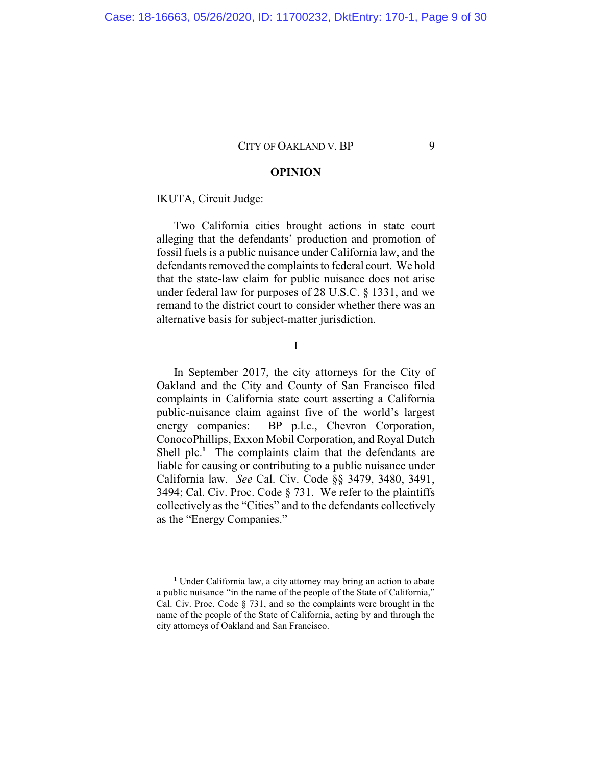### **OPINION**

## IKUTA, Circuit Judge:

Two California cities brought actions in state court alleging that the defendants' production and promotion of fossil fuels is a public nuisance under California law, and the defendants removed the complaints to federal court. We hold that the state-law claim for public nuisance does not arise under federal law for purposes of 28 U.S.C. § 1331, and we remand to the district court to consider whether there was an alternative basis for subject-matter jurisdiction.

I

In September 2017, the city attorneys for the City of Oakland and the City and County of San Francisco filed complaints in California state court asserting a California public-nuisance claim against five of the world's largest energy companies: BP p.l.c., Chevron Corporation, ConocoPhillips, Exxon Mobil Corporation, and Royal Dutch Shell plc.<sup>1</sup> The complaints claim that the defendants are liable for causing or contributing to a public nuisance under California law. *See* Cal. Civ. Code §§ 3479, 3480, 3491, 3494; Cal. Civ. Proc. Code § 731. We refer to the plaintiffs collectively as the "Cities" and to the defendants collectively as the "Energy Companies."

**<sup>1</sup>** Under California law, a city attorney may bring an action to abate a public nuisance "in the name of the people of the State of California," Cal. Civ. Proc. Code § 731, and so the complaints were brought in the name of the people of the State of California, acting by and through the city attorneys of Oakland and San Francisco.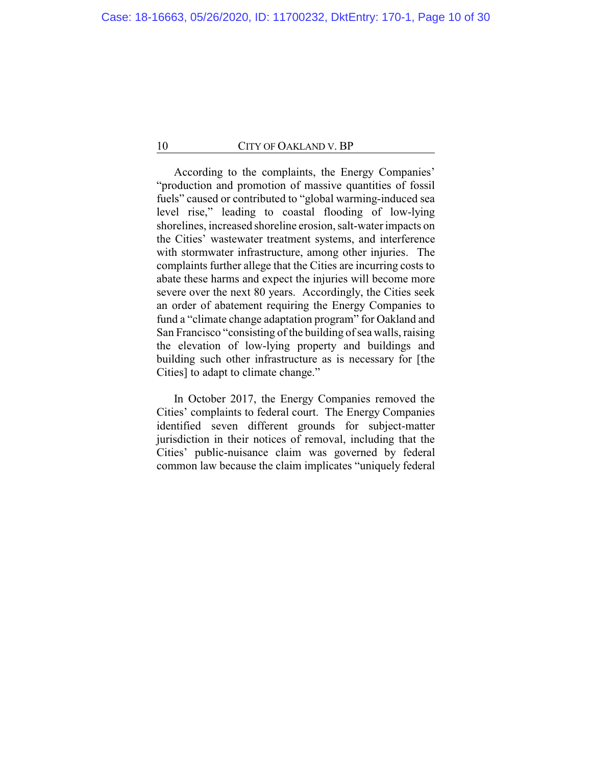According to the complaints, the Energy Companies' "production and promotion of massive quantities of fossil fuels" caused or contributed to "global warming-induced sea level rise," leading to coastal flooding of low-lying shorelines, increased shoreline erosion, salt-water impacts on the Cities' wastewater treatment systems, and interference with stormwater infrastructure, among other injuries. The complaints further allege that the Cities are incurring costs to abate these harms and expect the injuries will become more severe over the next 80 years. Accordingly, the Cities seek an order of abatement requiring the Energy Companies to fund a "climate change adaptation program" for Oakland and San Francisco "consisting of the building of sea walls, raising the elevation of low-lying property and buildings and building such other infrastructure as is necessary for [the Cities] to adapt to climate change."

In October 2017, the Energy Companies removed the Cities' complaints to federal court. The Energy Companies identified seven different grounds for subject-matter jurisdiction in their notices of removal, including that the Cities' public-nuisance claim was governed by federal common law because the claim implicates "uniquely federal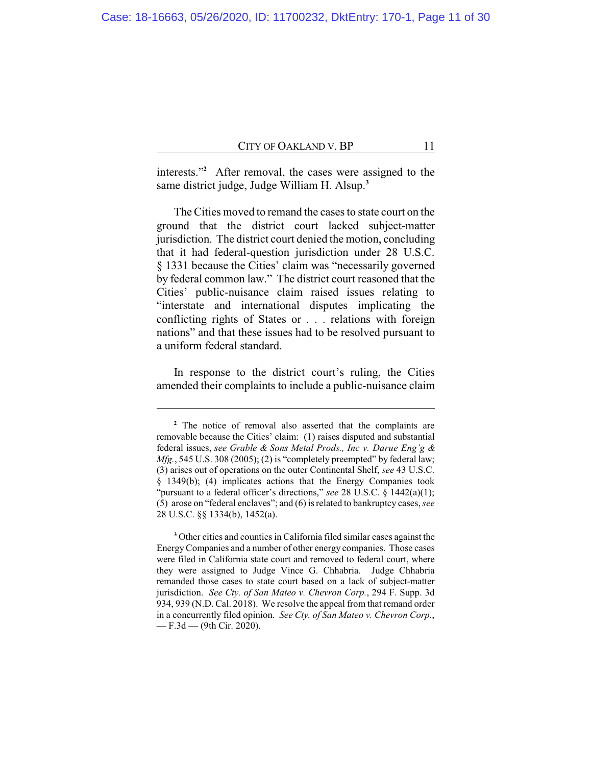interests."**<sup>2</sup>** After removal, the cases were assigned to the same district judge, Judge William H. Alsup.**<sup>3</sup>**

The Cities moved to remand the cases to state court on the ground that the district court lacked subject-matter jurisdiction. The district court denied the motion, concluding that it had federal-question jurisdiction under 28 U.S.C. § 1331 because the Cities' claim was "necessarily governed by federal common law." The district court reasoned that the Cities' public-nuisance claim raised issues relating to "interstate and international disputes implicating the conflicting rights of States or . . . relations with foreign nations" and that these issues had to be resolved pursuant to a uniform federal standard.

In response to the district court's ruling, the Cities amended their complaints to include a public-nuisance claim

**<sup>2</sup>** The notice of removal also asserted that the complaints are removable because the Cities' claim: (1) raises disputed and substantial federal issues, *see Grable & Sons Metal Prods., Inc v. Darue Eng'g & Mfg.*, 545 U.S. 308 (2005); (2) is "completely preempted" by federal law; (3) arises out of operations on the outer Continental Shelf, *see* 43 U.S.C. § 1349(b); (4) implicates actions that the Energy Companies took "pursuant to a federal officer's directions," *see* 28 U.S.C. § 1442(a)(1); (5) arose on "federal enclaves"; and (6) is related to bankruptcy cases, *see* 28 U.S.C. §§ 1334(b), 1452(a).

**<sup>3</sup>** Other cities and counties in California filed similar cases against the EnergyCompanies and a number of other energy companies. Those cases were filed in California state court and removed to federal court, where they were assigned to Judge Vince G. Chhabria. Judge Chhabria remanded those cases to state court based on a lack of subject-matter jurisdiction. *See Cty. of San Mateo v. Chevron Corp.*, 294 F. Supp. 3d 934, 939 (N.D. Cal. 2018). We resolve the appeal from that remand order in a concurrently filed opinion. *See Cty. of San Mateo v. Chevron Corp.*, — F.3d — (9th Cir. 2020).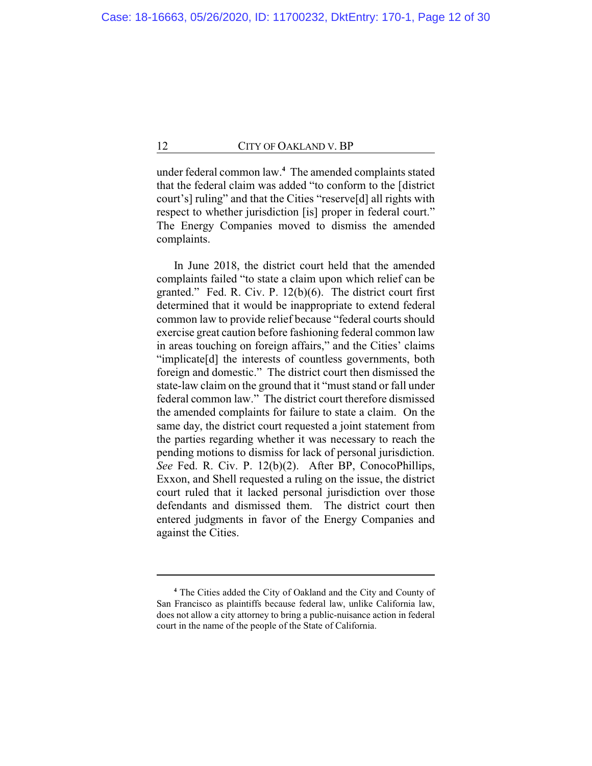under federal common law.**<sup>4</sup>** The amended complaints stated that the federal claim was added "to conform to the [district court's] ruling" and that the Cities "reserve[d] all rights with respect to whether jurisdiction [is] proper in federal court." The Energy Companies moved to dismiss the amended complaints.

In June 2018, the district court held that the amended complaints failed "to state a claim upon which relief can be granted." Fed. R. Civ. P. 12(b)(6). The district court first determined that it would be inappropriate to extend federal common law to provide relief because "federal courts should exercise great caution before fashioning federal common law in areas touching on foreign affairs," and the Cities' claims "implicate[d] the interests of countless governments, both foreign and domestic." The district court then dismissed the state-law claim on the ground that it "must stand or fall under federal common law." The district court therefore dismissed the amended complaints for failure to state a claim. On the same day, the district court requested a joint statement from the parties regarding whether it was necessary to reach the pending motions to dismiss for lack of personal jurisdiction. *See* Fed. R. Civ. P. 12(b)(2). After BP, ConocoPhillips, Exxon, and Shell requested a ruling on the issue, the district court ruled that it lacked personal jurisdiction over those defendants and dismissed them. The district court then entered judgments in favor of the Energy Companies and against the Cities.

**<sup>4</sup>** The Cities added the City of Oakland and the City and County of San Francisco as plaintiffs because federal law, unlike California law, does not allow a city attorney to bring a public-nuisance action in federal court in the name of the people of the State of California.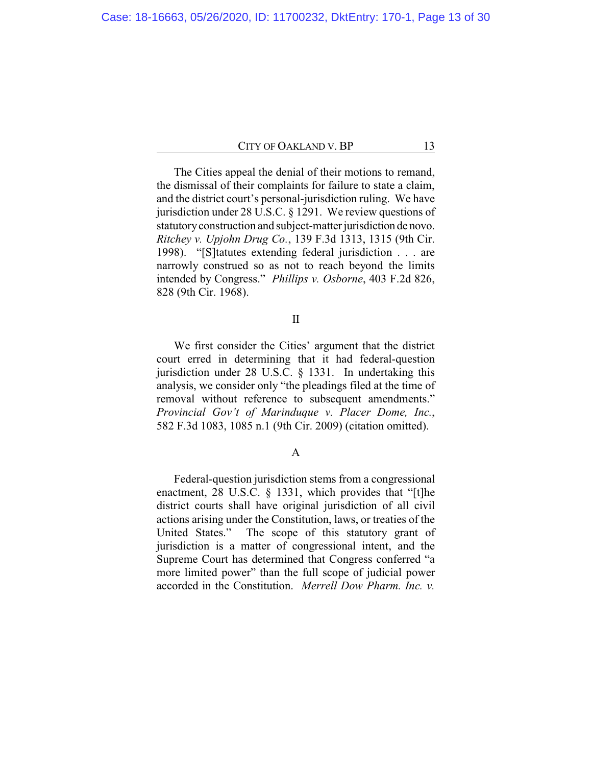The Cities appeal the denial of their motions to remand, the dismissal of their complaints for failure to state a claim, and the district court's personal-jurisdiction ruling. We have jurisdiction under 28 U.S.C. § 1291. We review questions of statutory construction and subject-matter jurisdiction de novo. *Ritchey v. Upjohn Drug Co.*, 139 F.3d 1313, 1315 (9th Cir. 1998). "[S]tatutes extending federal jurisdiction . . . are narrowly construed so as not to reach beyond the limits intended by Congress." *Phillips v. Osborne*, 403 F.2d 826, 828 (9th Cir. 1968).

## II

We first consider the Cities' argument that the district court erred in determining that it had federal-question jurisdiction under 28 U.S.C. § 1331. In undertaking this analysis, we consider only "the pleadings filed at the time of removal without reference to subsequent amendments." *Provincial Gov't of Marinduque v. Placer Dome, Inc.*, 582 F.3d 1083, 1085 n.1 (9th Cir. 2009) (citation omitted).

## A

Federal-question jurisdiction stems from a congressional enactment, 28 U.S.C. § 1331, which provides that "[t]he district courts shall have original jurisdiction of all civil actions arising under the Constitution, laws, or treaties of the United States." The scope of this statutory grant of jurisdiction is a matter of congressional intent, and the Supreme Court has determined that Congress conferred "a more limited power" than the full scope of judicial power accorded in the Constitution. *Merrell Dow Pharm. Inc. v.*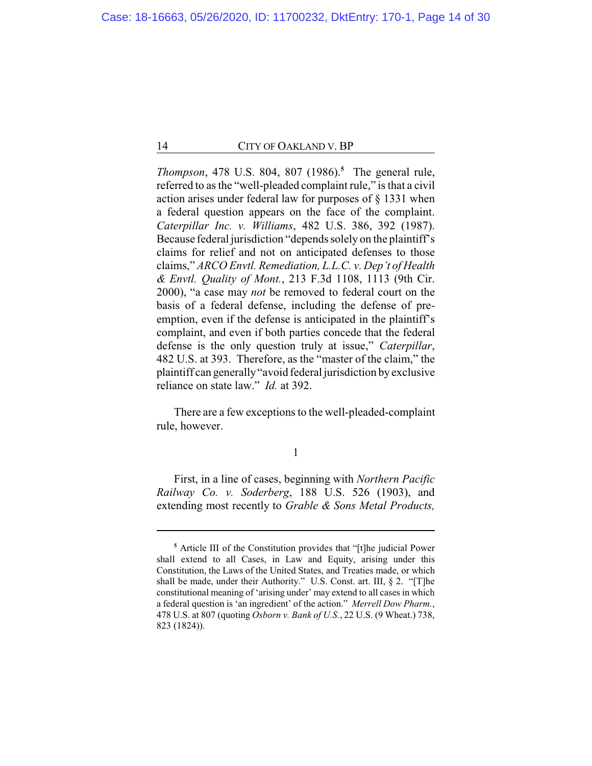*Thompson*, 478 U.S. 804, 807 (1986).**<sup>5</sup>** The general rule, referred to as the "well-pleaded complaint rule," is that a civil action arises under federal law for purposes of § 1331 when a federal question appears on the face of the complaint. *Caterpillar Inc. v. Williams*, 482 U.S. 386, 392 (1987). Because federal jurisdiction "depends solely on the plaintiff's claims for relief and not on anticipated defenses to those claims," *ARCO Envtl. Remediation, L.L.C. v. Dep't of Health & Envtl. Quality of Mont.*, 213 F.3d 1108, 1113 (9th Cir. 2000), "a case may *not* be removed to federal court on the basis of a federal defense, including the defense of preemption, even if the defense is anticipated in the plaintiff's complaint, and even if both parties concede that the federal defense is the only question truly at issue," *Caterpillar*, 482 U.S. at 393. Therefore, as the "master of the claim," the plaintiff can generally"avoid federal jurisdiction byexclusive reliance on state law." *Id.* at 392.

There are a few exceptions to the well-pleaded-complaint rule, however.

1

First, in a line of cases, beginning with *Northern Pacific Railway Co. v. Soderberg*, 188 U.S. 526 (1903), and extending most recently to *Grable & Sons Metal Products,*

**<sup>5</sup>** Article III of the Constitution provides that "[t]he judicial Power shall extend to all Cases, in Law and Equity, arising under this Constitution, the Laws of the United States, and Treaties made, or which shall be made, under their Authority." U.S. Const. art. III, § 2. "[T]he constitutional meaning of 'arising under' may extend to all cases in which a federal question is 'an ingredient' of the action." *Merrell Dow Pharm.*, 478 U.S. at 807 (quoting *Osborn v. Bank of U.S.*, 22 U.S. (9 Wheat.) 738, 823 (1824)).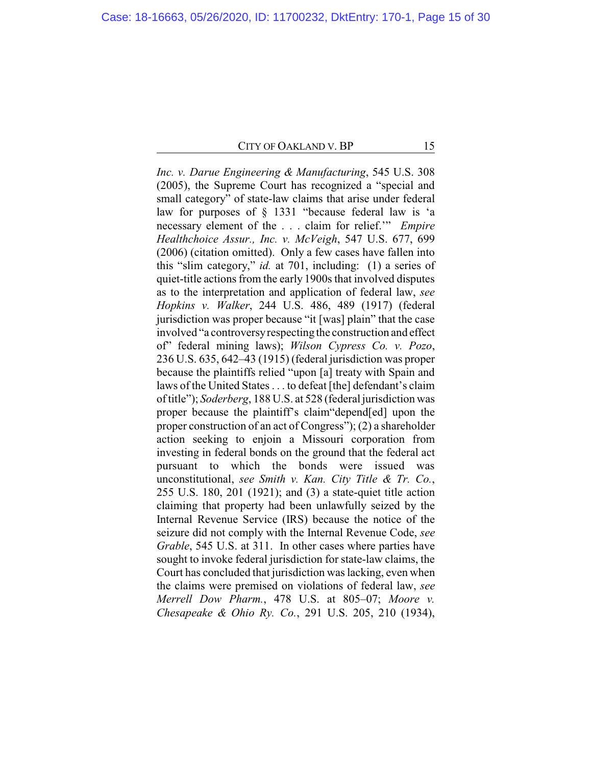*Inc. v. Darue Engineering & Manufacturing*, 545 U.S. 308 (2005), the Supreme Court has recognized a "special and small category" of state-law claims that arise under federal law for purposes of § 1331 "because federal law is 'a necessary element of the . . . claim for relief.'" *Empire Healthchoice Assur., Inc. v. McVeigh*, 547 U.S. 677, 699 (2006) (citation omitted). Only a few cases have fallen into this "slim category," *id.* at 701, including: (1) a series of quiet-title actions from the early 1900s that involved disputes as to the interpretation and application of federal law, *see Hopkins v. Walker*, 244 U.S. 486, 489 (1917) (federal jurisdiction was proper because "it [was] plain" that the case involved "a controversyrespecting the construction and effect of" federal mining laws); *Wilson Cypress Co. v. Pozo*, 236 U.S. 635, 642–43 (1915) (federal jurisdiction was proper because the plaintiffs relied "upon [a] treaty with Spain and laws of the United States . . . to defeat [the] defendant's claim of title"); *Soderberg*, 188 U.S. at 528 (federal jurisdiction was proper because the plaintiff's claim"depend[ed] upon the proper construction of an act of Congress"); (2) a shareholder action seeking to enjoin a Missouri corporation from investing in federal bonds on the ground that the federal act pursuant to which the bonds were issued was unconstitutional, *see Smith v. Kan. City Title & Tr. Co.*, 255 U.S. 180, 201 (1921); and (3) a state-quiet title action claiming that property had been unlawfully seized by the Internal Revenue Service (IRS) because the notice of the seizure did not comply with the Internal Revenue Code, *see Grable*, 545 U.S. at 311. In other cases where parties have sought to invoke federal jurisdiction for state-law claims, the Court has concluded that jurisdiction was lacking, even when the claims were premised on violations of federal law, *see Merrell Dow Pharm.*, 478 U.S. at 805–07; *Moore v. Chesapeake & Ohio Ry. Co.*, 291 U.S. 205, 210 (1934),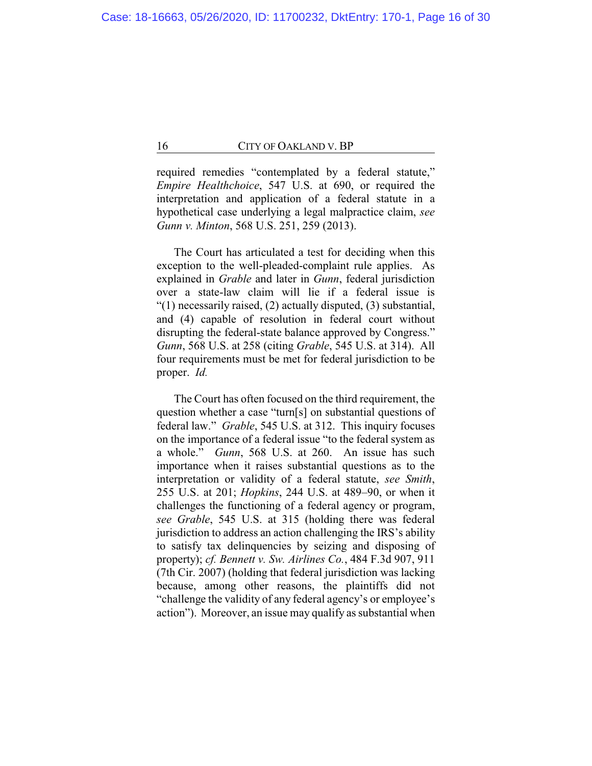required remedies "contemplated by a federal statute," *Empire Healthchoice*, 547 U.S. at 690, or required the interpretation and application of a federal statute in a hypothetical case underlying a legal malpractice claim, *see Gunn v. Minton*, 568 U.S. 251, 259 (2013).

The Court has articulated a test for deciding when this exception to the well-pleaded-complaint rule applies. As explained in *Grable* and later in *Gunn*, federal jurisdiction over a state-law claim will lie if a federal issue is "(1) necessarily raised, (2) actually disputed, (3) substantial, and (4) capable of resolution in federal court without disrupting the federal-state balance approved by Congress." *Gunn*, 568 U.S. at 258 (citing *Grable*, 545 U.S. at 314). All four requirements must be met for federal jurisdiction to be proper. *Id.*

The Court has often focused on the third requirement, the question whether a case "turn[s] on substantial questions of federal law." *Grable*, 545 U.S. at 312. This inquiry focuses on the importance of a federal issue "to the federal system as a whole." *Gunn*, 568 U.S. at 260. An issue has such importance when it raises substantial questions as to the interpretation or validity of a federal statute, *see Smith*, 255 U.S. at 201; *Hopkins*, 244 U.S. at 489–90, or when it challenges the functioning of a federal agency or program, *see Grable*, 545 U.S. at 315 (holding there was federal jurisdiction to address an action challenging the IRS's ability to satisfy tax delinquencies by seizing and disposing of property); *cf. Bennett v. Sw. Airlines Co.*, 484 F.3d 907, 911 (7th Cir. 2007) (holding that federal jurisdiction was lacking because, among other reasons, the plaintiffs did not "challenge the validity of any federal agency's or employee's action"). Moreover, an issue may qualify as substantial when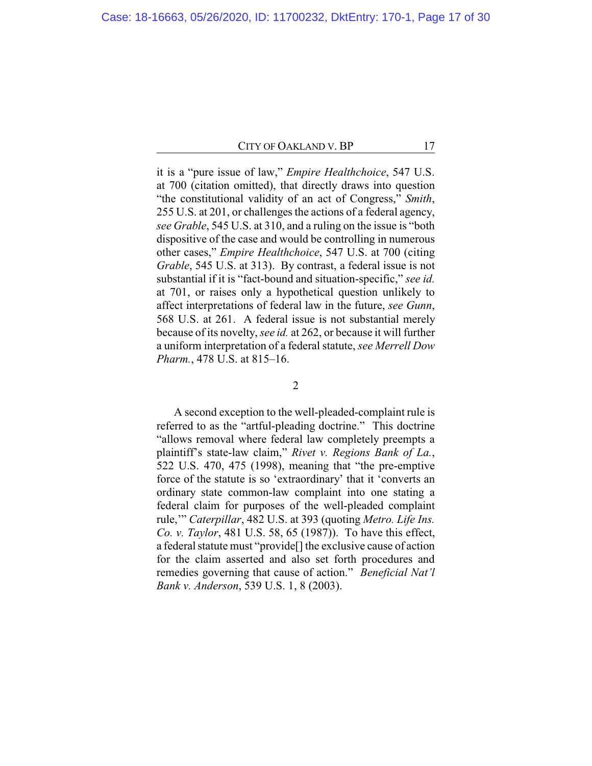it is a "pure issue of law," *Empire Healthchoice*, 547 U.S. at 700 (citation omitted), that directly draws into question "the constitutional validity of an act of Congress," *Smith*, 255 U.S. at 201, or challenges the actions of a federal agency, *see Grable*, 545 U.S. at 310, and a ruling on the issue is "both dispositive of the case and would be controlling in numerous other cases," *Empire Healthchoice*, 547 U.S. at 700 (citing *Grable*, 545 U.S. at 313). By contrast, a federal issue is not substantial if it is "fact-bound and situation-specific," *see id.* at 701, or raises only a hypothetical question unlikely to affect interpretations of federal law in the future, *see Gunn*, 568 U.S. at 261. A federal issue is not substantial merely because of its novelty, *see id.* at 262, or because it will further a uniform interpretation of a federal statute, *see Merrell Dow Pharm.*, 478 U.S. at 815–16.

2

A second exception to the well-pleaded-complaint rule is referred to as the "artful-pleading doctrine." This doctrine "allows removal where federal law completely preempts a plaintiff's state-law claim," *Rivet v. Regions Bank of La.*, 522 U.S. 470, 475 (1998), meaning that "the pre-emptive force of the statute is so 'extraordinary' that it 'converts an ordinary state common-law complaint into one stating a federal claim for purposes of the well-pleaded complaint rule,'" *Caterpillar*, 482 U.S. at 393 (quoting *Metro. Life Ins. Co. v. Taylor*, 481 U.S. 58, 65 (1987)). To have this effect, a federal statute must "provide[] the exclusive cause of action for the claim asserted and also set forth procedures and remedies governing that cause of action." *Beneficial Nat'l Bank v. Anderson*, 539 U.S. 1, 8 (2003).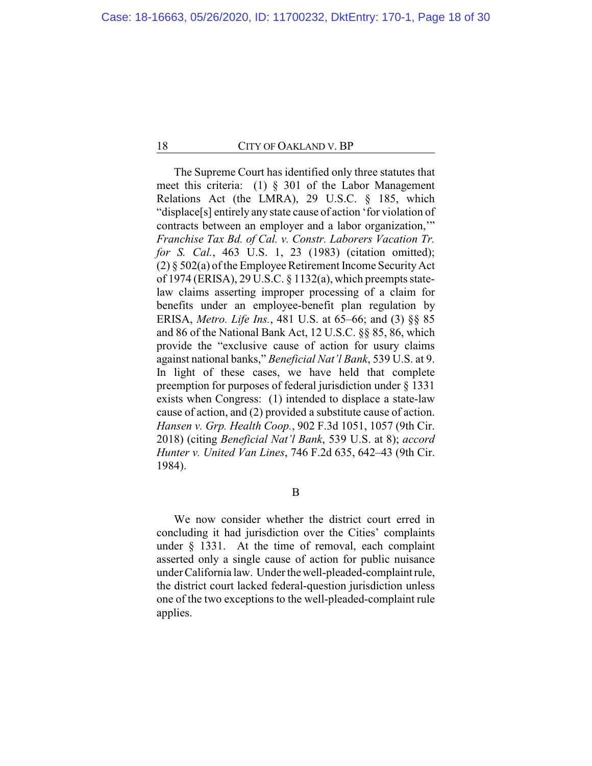The Supreme Court has identified only three statutes that meet this criteria: (1) § 301 of the Labor Management Relations Act (the LMRA), 29 U.S.C. § 185, which "displace[s] entirely any state cause of action 'for violation of contracts between an employer and a labor organization,'" *Franchise Tax Bd. of Cal. v. Constr. Laborers Vacation Tr. for S. Cal.*, 463 U.S. 1, 23 (1983) (citation omitted); (2) § 502(a) of the Employee Retirement Income SecurityAct of 1974 (ERISA), 29 U.S.C. § 1132(a), which preempts statelaw claims asserting improper processing of a claim for benefits under an employee-benefit plan regulation by ERISA, *Metro. Life Ins.*, 481 U.S. at 65–66; and (3) §§ 85 and 86 of the National Bank Act, 12 U.S.C. §§ 85, 86, which provide the "exclusive cause of action for usury claims against national banks," *Beneficial Nat'l Bank*, 539 U.S. at 9. In light of these cases, we have held that complete preemption for purposes of federal jurisdiction under § 1331 exists when Congress: (1) intended to displace a state-law cause of action, and (2) provided a substitute cause of action. *Hansen v. Grp. Health Coop.*, 902 F.3d 1051, 1057 (9th Cir. 2018) (citing *Beneficial Nat'l Bank*, 539 U.S. at 8); *accord Hunter v. United Van Lines*, 746 F.2d 635, 642–43 (9th Cir. 1984).

B

We now consider whether the district court erred in concluding it had jurisdiction over the Cities' complaints under § 1331. At the time of removal, each complaint asserted only a single cause of action for public nuisance under California law. Under thewell-pleaded-complaint rule, the district court lacked federal-question jurisdiction unless one of the two exceptions to the well-pleaded-complaint rule applies.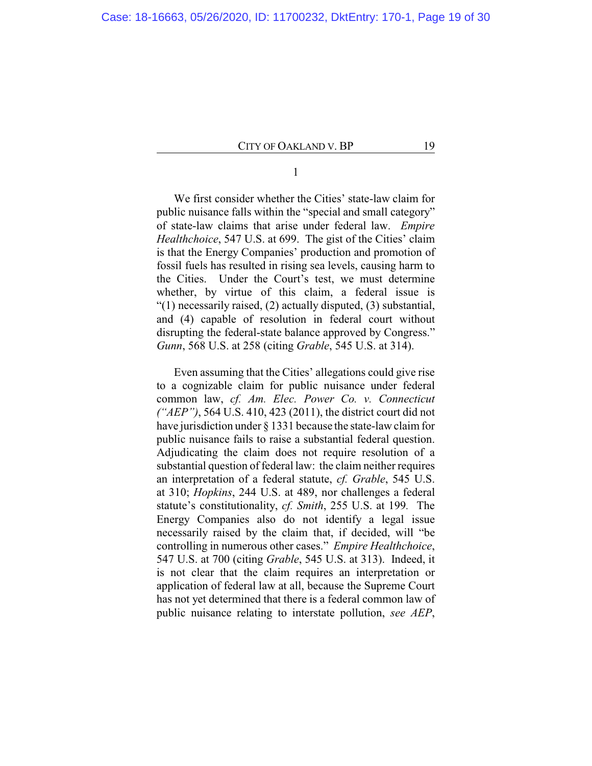## 1

We first consider whether the Cities' state-law claim for public nuisance falls within the "special and small category" of state-law claims that arise under federal law. *Empire Healthchoice*, 547 U.S. at 699. The gist of the Cities' claim is that the Energy Companies' production and promotion of fossil fuels has resulted in rising sea levels, causing harm to the Cities. Under the Court's test, we must determine whether, by virtue of this claim, a federal issue is "(1) necessarily raised, (2) actually disputed, (3) substantial, and (4) capable of resolution in federal court without disrupting the federal-state balance approved by Congress." *Gunn*, 568 U.S. at 258 (citing *Grable*, 545 U.S. at 314).

Even assuming that the Cities' allegations could give rise to a cognizable claim for public nuisance under federal common law, *cf. Am. Elec. Power Co. v. Connecticut ("AEP")*, 564 U.S. 410, 423 (2011), the district court did not have jurisdiction under § 1331 because the state-law claim for public nuisance fails to raise a substantial federal question. Adjudicating the claim does not require resolution of a substantial question of federal law: the claim neither requires an interpretation of a federal statute, *cf. Grable*, 545 U.S. at 310; *Hopkins*, 244 U.S. at 489, nor challenges a federal statute's constitutionality, *cf. Smith*, 255 U.S. at 199*.* The Energy Companies also do not identify a legal issue necessarily raised by the claim that, if decided, will "be controlling in numerous other cases." *Empire Healthchoice*, 547 U.S. at 700 (citing *Grable*, 545 U.S. at 313). Indeed, it is not clear that the claim requires an interpretation or application of federal law at all, because the Supreme Court has not yet determined that there is a federal common law of public nuisance relating to interstate pollution, *see AEP*,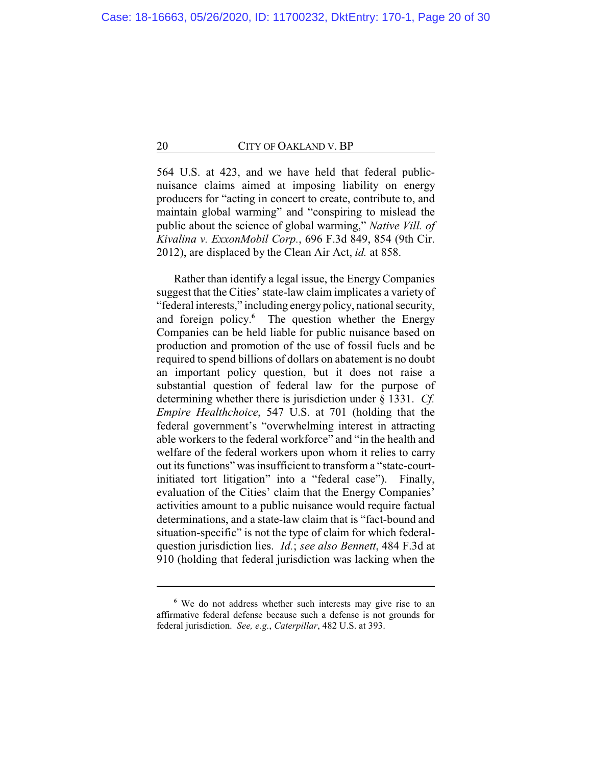564 U.S. at 423, and we have held that federal publicnuisance claims aimed at imposing liability on energy producers for "acting in concert to create, contribute to, and maintain global warming" and "conspiring to mislead the public about the science of global warming," *Native Vill. of Kivalina v. ExxonMobil Corp.*, 696 F.3d 849, 854 (9th Cir. 2012), are displaced by the Clean Air Act, *id.* at 858.

Rather than identify a legal issue, the Energy Companies suggest that the Cities' state-law claim implicates a variety of "federal interests," including energy policy, national security, and foreign policy. **<sup>6</sup>** The question whether the Energy Companies can be held liable for public nuisance based on production and promotion of the use of fossil fuels and be required to spend billions of dollars on abatement is no doubt an important policy question, but it does not raise a substantial question of federal law for the purpose of determining whether there is jurisdiction under § 1331. *Cf. Empire Healthchoice*, 547 U.S. at 701 (holding that the federal government's "overwhelming interest in attracting able workers to the federal workforce" and "in the health and welfare of the federal workers upon whom it relies to carry out its functions" was insufficient to transform a "state-courtinitiated tort litigation" into a "federal case"). Finally, evaluation of the Cities' claim that the Energy Companies' activities amount to a public nuisance would require factual determinations, and a state-law claim that is "fact-bound and situation-specific" is not the type of claim for which federalquestion jurisdiction lies. *Id.*; *see also Bennett*, 484 F.3d at 910 (holding that federal jurisdiction was lacking when the

**<sup>6</sup>** We do not address whether such interests may give rise to an affirmative federal defense because such a defense is not grounds for federal jurisdiction. *See, e.g.*, *Caterpillar*, 482 U.S. at 393.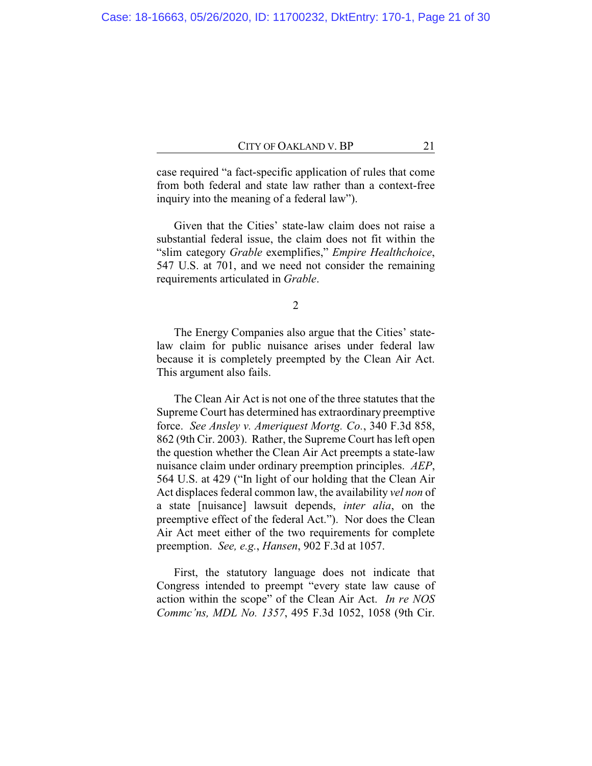case required "a fact-specific application of rules that come from both federal and state law rather than a context-free inquiry into the meaning of a federal law").

Given that the Cities' state-law claim does not raise a substantial federal issue, the claim does not fit within the "slim category *Grable* exemplifies," *Empire Healthchoice*, 547 U.S. at 701, and we need not consider the remaining requirements articulated in *Grable*.

2

The Energy Companies also argue that the Cities' statelaw claim for public nuisance arises under federal law because it is completely preempted by the Clean Air Act. This argument also fails.

The Clean Air Act is not one of the three statutes that the Supreme Court has determined has extraordinary preemptive force. *See Ansley v. Ameriquest Mortg. Co.*, 340 F.3d 858, 862 (9th Cir. 2003). Rather, the Supreme Court has left open the question whether the Clean Air Act preempts a state-law nuisance claim under ordinary preemption principles. *AEP*, 564 U.S. at 429 ("In light of our holding that the Clean Air Act displaces federal common law, the availability *vel non* of a state [nuisance] lawsuit depends, *inter alia*, on the preemptive effect of the federal Act."). Nor does the Clean Air Act meet either of the two requirements for complete preemption. *See, e.g.*, *Hansen*, 902 F.3d at 1057.

First, the statutory language does not indicate that Congress intended to preempt "every state law cause of action within the scope" of the Clean Air Act. *In re NOS Commc'ns, MDL No. 1357*, 495 F.3d 1052, 1058 (9th Cir.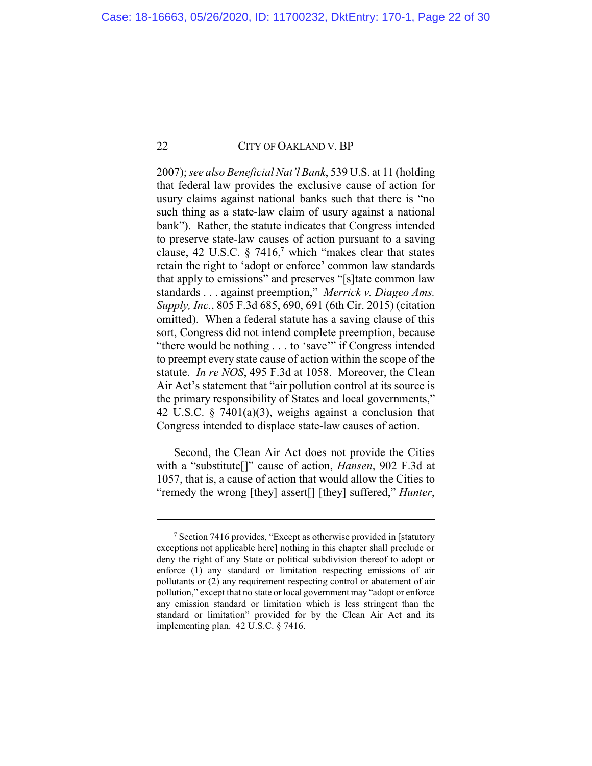2007); *see also Beneficial Nat'l Bank*, 539 U.S. at 11 (holding that federal law provides the exclusive cause of action for usury claims against national banks such that there is "no such thing as a state-law claim of usury against a national bank"). Rather, the statute indicates that Congress intended to preserve state-law causes of action pursuant to a saving clause, 42 U.S.C. § 7416,**<sup>7</sup>** which "makes clear that states retain the right to 'adopt or enforce' common law standards that apply to emissions" and preserves "[s]tate common law standards . . . against preemption," *Merrick v. Diageo Ams. Supply, Inc.*, 805 F.3d 685, 690, 691 (6th Cir. 2015) (citation omitted). When a federal statute has a saving clause of this sort, Congress did not intend complete preemption, because "there would be nothing . . . to 'save'" if Congress intended to preempt every state cause of action within the scope of the statute. *In re NOS*, 495 F.3d at 1058. Moreover, the Clean Air Act's statement that "air pollution control at its source is the primary responsibility of States and local governments," 42 U.S.C. § 7401(a)(3), weighs against a conclusion that Congress intended to displace state-law causes of action.

Second, the Clean Air Act does not provide the Cities with a "substitute[]" cause of action, *Hansen*, 902 F.3d at 1057, that is, a cause of action that would allow the Cities to "remedy the wrong [they] assert[] [they] suffered," *Hunter*,

**<sup>7</sup>** Section 7416 provides, "Except as otherwise provided in [statutory exceptions not applicable here] nothing in this chapter shall preclude or deny the right of any State or political subdivision thereof to adopt or enforce (1) any standard or limitation respecting emissions of air pollutants or (2) any requirement respecting control or abatement of air pollution," except that no state or local government may "adopt or enforce any emission standard or limitation which is less stringent than the standard or limitation" provided for by the Clean Air Act and its implementing plan. 42 U.S.C. § 7416.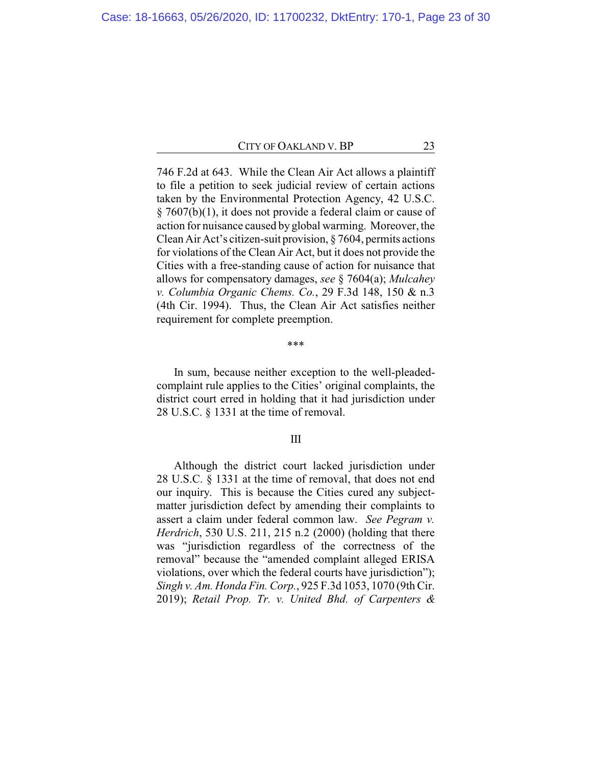746 F.2d at 643. While the Clean Air Act allows a plaintiff to file a petition to seek judicial review of certain actions taken by the Environmental Protection Agency, 42 U.S.C. § 7607(b)(1), it does not provide a federal claim or cause of action for nuisance caused by global warming. Moreover, the Clean Air Act's citizen-suit provision, § 7604, permits actions for violations of the Clean Air Act, but it does not provide the Cities with a free-standing cause of action for nuisance that allows for compensatory damages, *see* § 7604(a); *Mulcahey v. Columbia Organic Chems. Co.*, 29 F.3d 148, 150 & n.3 (4th Cir. 1994). Thus, the Clean Air Act satisfies neither requirement for complete preemption.

#### \*\*\*

In sum, because neither exception to the well-pleadedcomplaint rule applies to the Cities' original complaints, the district court erred in holding that it had jurisdiction under 28 U.S.C. § 1331 at the time of removal.

### III

Although the district court lacked jurisdiction under 28 U.S.C. § 1331 at the time of removal, that does not end our inquiry. This is because the Cities cured any subjectmatter jurisdiction defect by amending their complaints to assert a claim under federal common law. *See Pegram v. Herdrich*, 530 U.S. 211, 215 n.2 (2000) (holding that there was "jurisdiction regardless of the correctness of the removal" because the "amended complaint alleged ERISA violations, over which the federal courts have jurisdiction"); *Singh v. Am. Honda Fin. Corp.*, 925 F.3d 1053, 1070 (9th Cir. 2019); *Retail Prop. Tr. v. United Bhd. of Carpenters &*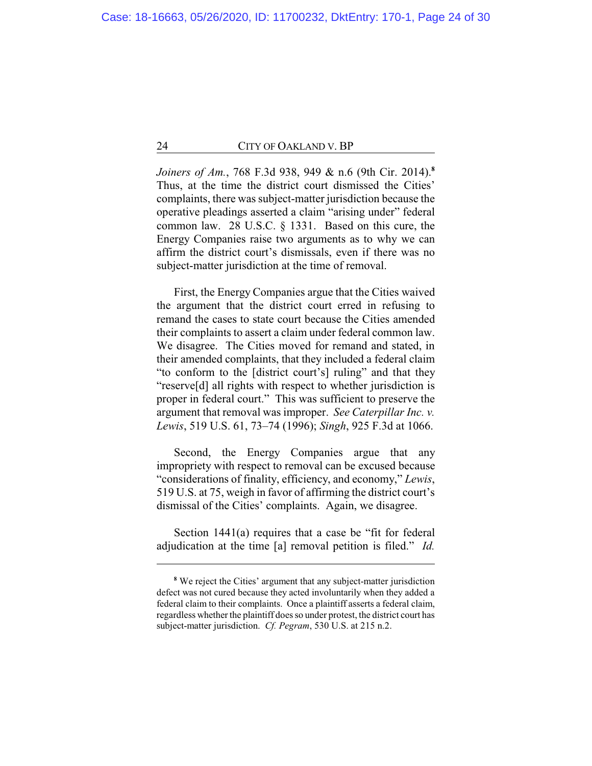*Joiners of Am.*, 768 F.3d 938, 949 & n.6 (9th Cir. 2014).**<sup>8</sup>** Thus, at the time the district court dismissed the Cities' complaints, there was subject-matter jurisdiction because the operative pleadings asserted a claim "arising under" federal common law. 28 U.S.C. § 1331. Based on this cure, the Energy Companies raise two arguments as to why we can affirm the district court's dismissals, even if there was no subject-matter jurisdiction at the time of removal.

First, the Energy Companies argue that the Cities waived the argument that the district court erred in refusing to remand the cases to state court because the Cities amended their complaints to assert a claim under federal common law. We disagree. The Cities moved for remand and stated, in their amended complaints, that they included a federal claim "to conform to the [district court's] ruling" and that they "reserve[d] all rights with respect to whether jurisdiction is proper in federal court." This was sufficient to preserve the argument that removal was improper. *See Caterpillar Inc. v. Lewis*, 519 U.S. 61, 73–74 (1996); *Singh*, 925 F.3d at 1066.

Second, the Energy Companies argue that any impropriety with respect to removal can be excused because "considerations of finality, efficiency, and economy," *Lewis*, 519 U.S. at 75, weigh in favor of affirming the district court's dismissal of the Cities' complaints. Again, we disagree.

Section 1441(a) requires that a case be "fit for federal adjudication at the time [a] removal petition is filed." *Id.*

**<sup>8</sup>** We reject the Cities' argument that any subject-matter jurisdiction defect was not cured because they acted involuntarily when they added a federal claim to their complaints. Once a plaintiff asserts a federal claim, regardless whether the plaintiff does so under protest, the district court has subject-matter jurisdiction. *Cf. Pegram*, 530 U.S. at 215 n.2.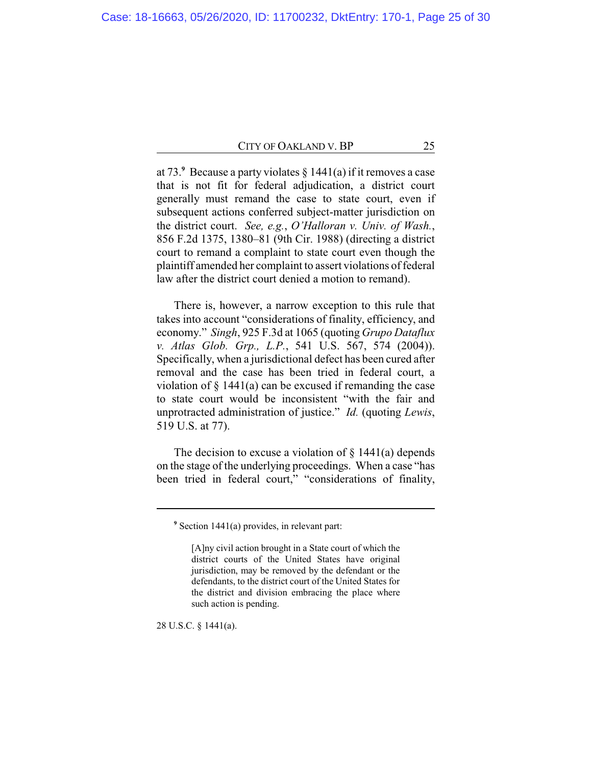at 73. **<sup>9</sup>** Because a party violates § 1441(a) if it removes a case that is not fit for federal adjudication, a district court generally must remand the case to state court, even if subsequent actions conferred subject-matter jurisdiction on the district court. *See, e.g.*, *O'Halloran v. Univ. of Wash.*, 856 F.2d 1375, 1380–81 (9th Cir. 1988) (directing a district court to remand a complaint to state court even though the plaintiff amended her complaint to assert violations of federal law after the district court denied a motion to remand).

There is, however, a narrow exception to this rule that takes into account "considerations of finality, efficiency, and economy." *Singh*, 925 F.3d at 1065 (quoting *Grupo Dataflux v. Atlas Glob. Grp., L.P.*, 541 U.S. 567, 574 (2004)). Specifically, when a jurisdictional defect has been cured after removal and the case has been tried in federal court, a violation of § 1441(a) can be excused if remanding the case to state court would be inconsistent "with the fair and unprotracted administration of justice." *Id.* (quoting *Lewis*, 519 U.S. at 77).

The decision to excuse a violation of  $\S$  1441(a) depends on the stage of the underlying proceedings. When a case "has been tried in federal court," "considerations of finality,

28 U.S.C. § 1441(a).

**<sup>9</sup>** Section 1441(a) provides, in relevant part:

<sup>[</sup>A]ny civil action brought in a State court of which the district courts of the United States have original jurisdiction, may be removed by the defendant or the defendants, to the district court of the United States for the district and division embracing the place where such action is pending.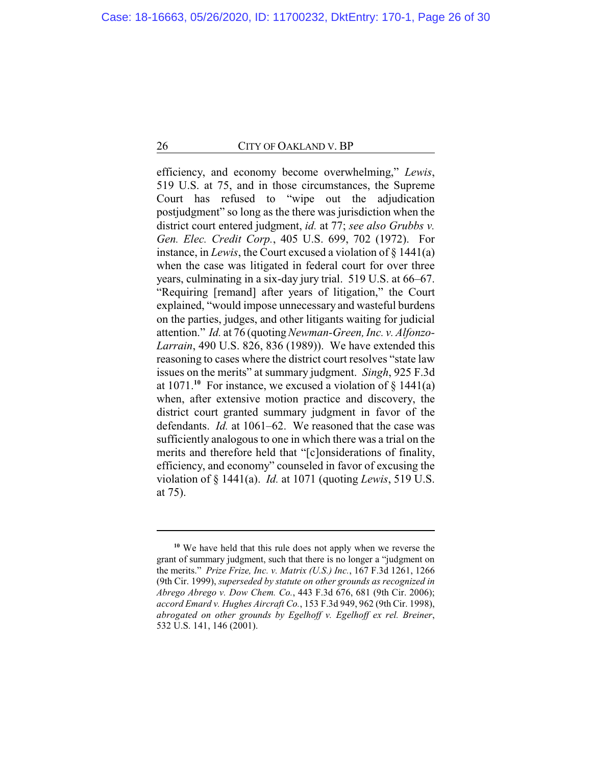efficiency, and economy become overwhelming," *Lewis*, 519 U.S. at 75, and in those circumstances, the Supreme Court has refused to "wipe out the adjudication postjudgment" so long as the there was jurisdiction when the district court entered judgment, *id.* at 77; *see also Grubbs v. Gen. Elec. Credit Corp.*, 405 U.S. 699, 702 (1972). For instance, in *Lewis*, the Court excused a violation of § 1441(a) when the case was litigated in federal court for over three years, culminating in a six-day jury trial. 519 U.S. at 66–67. "Requiring [remand] after years of litigation," the Court explained, "would impose unnecessary and wasteful burdens on the parties, judges, and other litigants waiting for judicial attention." *Id.* at 76 (quoting*Newman-Green, Inc. v. Alfonzo-Larrain*, 490 U.S. 826, 836 (1989)). We have extended this reasoning to cases where the district court resolves "state law issues on the merits" at summary judgment. *Singh*, 925 F.3d at 1071.**<sup>10</sup>** For instance, we excused a violation of § 1441(a) when, after extensive motion practice and discovery, the district court granted summary judgment in favor of the defendants. *Id.* at 1061–62. We reasoned that the case was sufficiently analogous to one in which there was a trial on the merits and therefore held that "[c]onsiderations of finality, efficiency, and economy" counseled in favor of excusing the violation of § 1441(a). *Id.* at 1071 (quoting *Lewis*, 519 U.S. at 75).

**<sup>10</sup>** We have held that this rule does not apply when we reverse the grant of summary judgment, such that there is no longer a "judgment on the merits." *Prize Frize, Inc. v. Matrix (U.S.) Inc.*, 167 F.3d 1261, 1266 (9th Cir. 1999), *superseded by statute on other grounds as recognized in Abrego Abrego v. Dow Chem. Co.*, 443 F.3d 676, 681 (9th Cir. 2006); *accord Emard v. Hughes Aircraft Co.*, 153 F.3d 949, 962 (9th Cir. 1998), *abrogated on other grounds by Egelhoff v. Egelhoff ex rel. Breiner*, 532 U.S. 141, 146 (2001).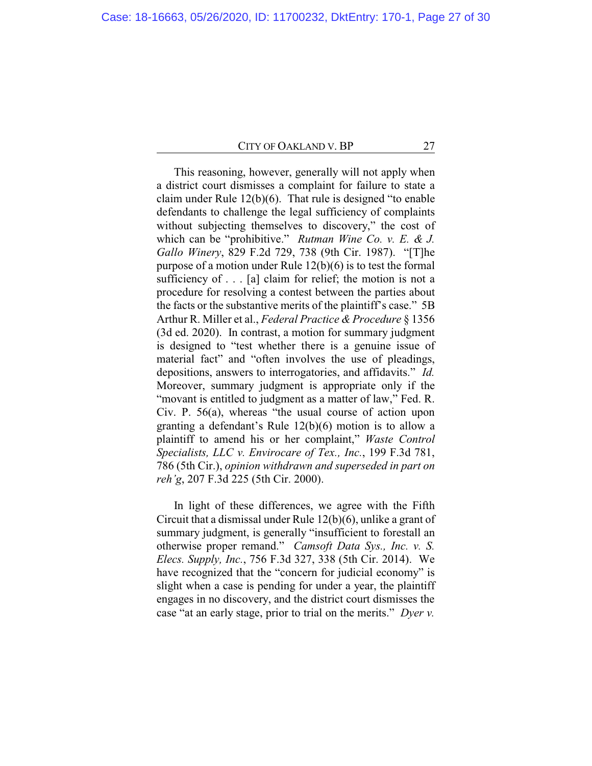This reasoning, however, generally will not apply when a district court dismisses a complaint for failure to state a claim under Rule 12(b)(6). That rule is designed "to enable defendants to challenge the legal sufficiency of complaints without subjecting themselves to discovery," the cost of which can be "prohibitive." *Rutman Wine Co. v. E. & J. Gallo Winery*, 829 F.2d 729, 738 (9th Cir. 1987). "[T]he purpose of a motion under Rule 12(b)(6) is to test the formal sufficiency of . . . [a] claim for relief; the motion is not a procedure for resolving a contest between the parties about the facts or the substantive merits of the plaintiff's case." 5B Arthur R. Miller et al., *Federal Practice & Procedure* § 1356 (3d ed. 2020). In contrast, a motion for summary judgment is designed to "test whether there is a genuine issue of material fact" and "often involves the use of pleadings, depositions, answers to interrogatories, and affidavits." *Id.* Moreover, summary judgment is appropriate only if the "movant is entitled to judgment as a matter of law," Fed. R. Civ. P. 56(a), whereas "the usual course of action upon granting a defendant's Rule 12(b)(6) motion is to allow a plaintiff to amend his or her complaint," *Waste Control Specialists, LLC v. Envirocare of Tex., Inc.*, 199 F.3d 781, 786 (5th Cir.), *opinion withdrawn and superseded in part on reh'g*, 207 F.3d 225 (5th Cir. 2000).

In light of these differences, we agree with the Fifth Circuit that a dismissal under Rule 12(b)(6), unlike a grant of summary judgment, is generally "insufficient to forestall an otherwise proper remand." *Camsoft Data Sys., Inc. v. S. Elecs. Supply, Inc.*, 756 F.3d 327, 338 (5th Cir. 2014). We have recognized that the "concern for judicial economy" is slight when a case is pending for under a year, the plaintiff engages in no discovery, and the district court dismisses the case "at an early stage, prior to trial on the merits." *Dyer v.*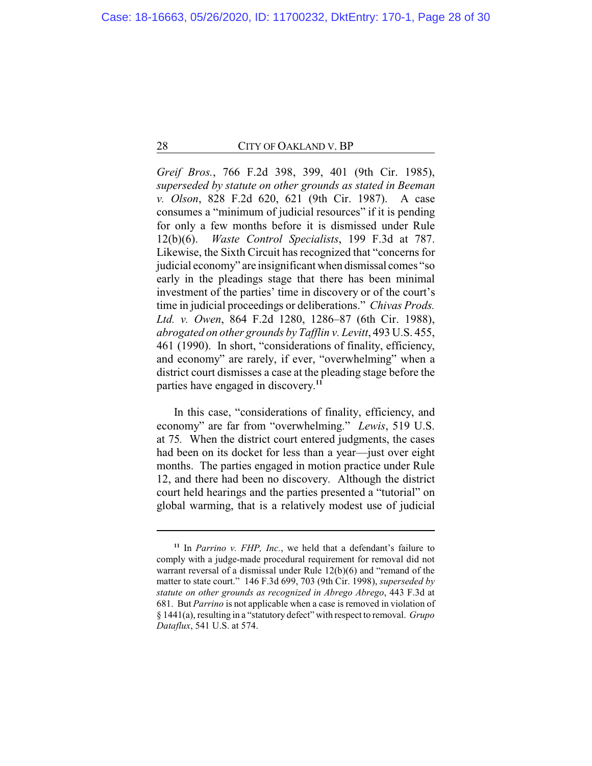*Greif Bros.*, 766 F.2d 398, 399, 401 (9th Cir. 1985), *superseded by statute on other grounds as stated in Beeman v. Olson*, 828 F.2d 620, 621 (9th Cir. 1987). A case consumes a "minimum of judicial resources" if it is pending for only a few months before it is dismissed under Rule 12(b)(6). *Waste Control Specialists*, 199 F.3d at 787. Likewise, the Sixth Circuit has recognized that "concerns for judicial economy" are insignificant when dismissal comes "so early in the pleadings stage that there has been minimal investment of the parties' time in discovery or of the court's time in judicial proceedings or deliberations." *Chivas Prods. Ltd. v. Owen*, 864 F.2d 1280, 1286–87 (6th Cir. 1988), *abrogated on other grounds by Tafflin v. Levitt*, 493 U.S. 455, 461 (1990). In short, "considerations of finality, efficiency, and economy" are rarely, if ever, "overwhelming" when a district court dismisses a case at the pleading stage before the parties have engaged in discovery. **11**

In this case, "considerations of finality, efficiency, and economy" are far from "overwhelming." *Lewis*, 519 U.S. at 75*.* When the district court entered judgments, the cases had been on its docket for less than a year—just over eight months. The parties engaged in motion practice under Rule 12, and there had been no discovery. Although the district court held hearings and the parties presented a "tutorial" on global warming, that is a relatively modest use of judicial

**<sup>11</sup>** In *Parrino v. FHP, Inc.*, we held that a defendant's failure to comply with a judge-made procedural requirement for removal did not warrant reversal of a dismissal under Rule 12(b)(6) and "remand of the matter to state court." 146 F.3d 699, 703 (9th Cir. 1998), *superseded by statute on other grounds as recognized in Abrego Abrego*, 443 F.3d at 681. But *Parrino* is not applicable when a case is removed in violation of § 1441(a), resulting in a "statutory defect" with respect to removal. *Grupo Dataflux*, 541 U.S. at 574.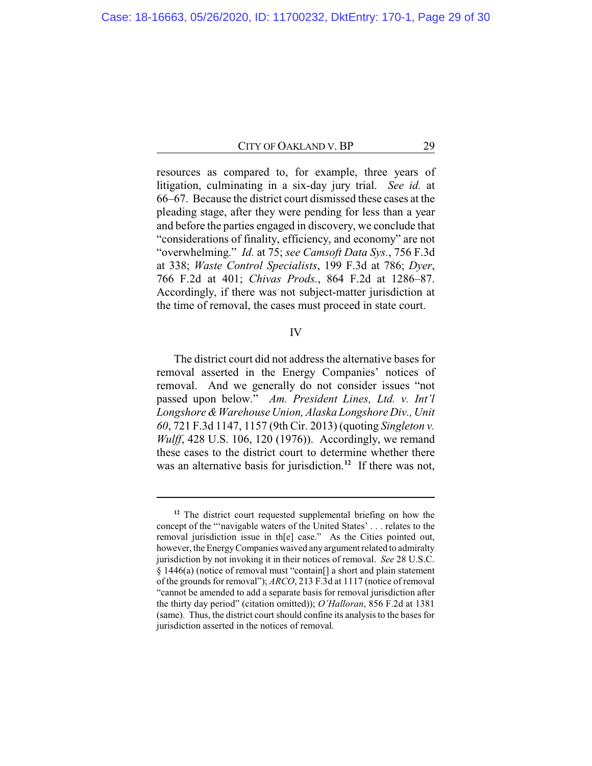resources as compared to, for example, three years of litigation, culminating in a six-day jury trial. *See id.* at 66–67. Because the district court dismissed these cases at the pleading stage, after they were pending for less than a year and before the parties engaged in discovery, we conclude that "considerations of finality, efficiency, and economy" are not "overwhelming." *Id.* at 75; *see Camsoft Data Sys.*, 756 F.3d at 338; *Waste Control Specialists*, 199 F.3d at 786; *Dyer*, 766 F.2d at 401; *Chivas Prods.*, 864 F.2d at 1286–87. Accordingly, if there was not subject-matter jurisdiction at the time of removal, the cases must proceed in state court.

## IV

The district court did not address the alternative bases for removal asserted in the Energy Companies' notices of removal. And we generally do not consider issues "not passed upon below." *Am. President Lines, Ltd. v. Int'l Longshore &Warehouse Union, Alaska Longshore Div., Unit 60*, 721 F.3d 1147, 1157 (9th Cir. 2013) (quoting *Singleton v. Wulff*, 428 U.S. 106, 120 (1976)). Accordingly, we remand these cases to the district court to determine whether there was an alternative basis for jurisdiction.**<sup>12</sup>** If there was not,

**<sup>12</sup>** The district court requested supplemental briefing on how the concept of the "'navigable waters of the United States' . . . relates to the removal jurisdiction issue in th[e] case." As the Cities pointed out, however, the Energy Companies waived any argument related to admiralty jurisdiction by not invoking it in their notices of removal. *See* 28 U.S.C. § 1446(a) (notice of removal must "contain[] a short and plain statement of the grounds for removal"); *ARCO*, 213 F.3d at 1117 (notice of removal "cannot be amended to add a separate basis for removal jurisdiction after the thirty day period" (citation omitted)); *O'Halloran*, 856 F.2d at 1381 (same). Thus, the district court should confine its analysis to the bases for jurisdiction asserted in the notices of removal.